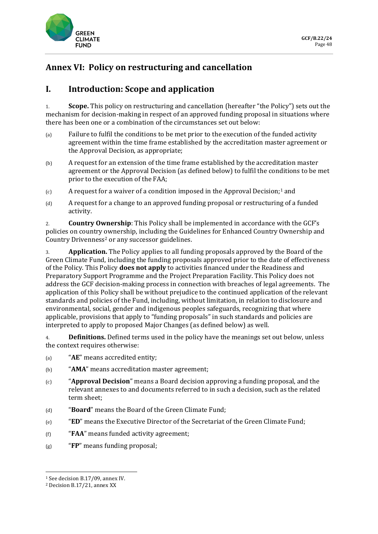

# **Annex VI: Policy on restructuring and cancellation**

# **I. Introduction: Scope and application**

1. **Scope.** This policy on restructuring and cancellation (hereafter "the Policy") sets out the mechanism for decision-making in respect of an approved funding proposal in situations where there has been one or a combination of the circumstances set out below:

- (a) Failure to fulfil the conditions to be met prior to the execution of the funded activity agreement within the time frame established by the accreditation master agreement or the Approval Decision, as appropriate;
- (b) A request for an extension of the time frame established by the accreditation master agreement or the Approval Decision (as defined below) to fulfil the conditions to be met prior to the execution of the FAA;
- $(c)$  A request for a waiver of a condition imposed in the Approval Decision;<sup>1</sup> and
- (d) A request for a change to an approved funding proposal or restructuring of a funded activity.

2. **Country Ownership**: This Policy shall be implemented in accordance with the GCF's policies on country ownership, including the Guidelines for Enhanced Country Ownership and Country Drivenness<sup>2</sup> or any successor guidelines.

3. **Application.** The Policy applies to all funding proposals approved by the Board of the Green Climate Fund, including the funding proposals approved prior to the date of effectiveness of the Policy. This Policy **does not apply** to activities financed under the Readiness and Preparatory Support Programme and the Project Preparation Facility. This Policy does not address the GCF decision-making process in connection with breaches of legal agreements. The application of this Policy shall be without prejudice to the continued application of the relevant standards and policies of the Fund, including, without limitation, in relation to disclosure and environmental, social, gender and indigenous peoples safeguards, recognizing that where applicable, provisions that apply to "funding proposals" in such standards and policies are interpreted to apply to proposed Major Changes (as defined below) as well.

4. **Definitions.** Defined terms used in the policy have the meanings set out below, unless the context requires otherwise:

- (a) "**AE**" means accredited entity;
- (b) "**AMA**" means accreditation master agreement;
- (c) "**Approval Decision**" means a Board decision approving a funding proposal, and the relevant annexes to and documents referred to in such a decision, such as the related term sheet;
- (d) "**Board**" means the Board of the Green Climate Fund;
- (e) "**ED**" means the Executive Director of the Secretariat of the Green Climate Fund;
- (f) "**FAA**" means funded activity agreement;
- (g) "**FP**" means funding proposal;

**.** 

<sup>1</sup> See decision B.17/09, annex IV.

<sup>2</sup> Decision B.17/21, annex XX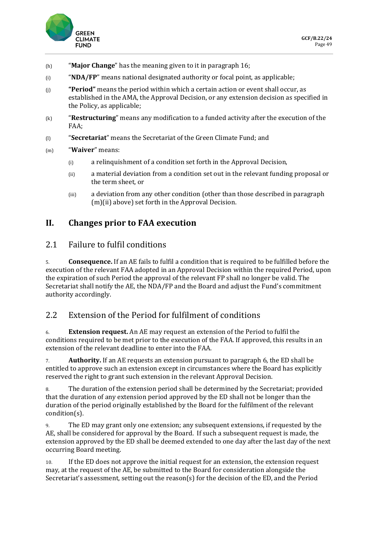

- (h) "**Major Change**" has the meaning given to it in paragraph 16;
- (i) "**NDA/FP**" means national designated authority or focal point, as applicable;
- (j) **"Period"** means the period within which a certain action or event shall occur, as established in the AMA, the Approval Decision, or any extension decision as specified in the Policy, as applicable;
- (k) "**Restructuring**" means any modification to a funded activity after the execution of the FAA;
- (l) "**Secretariat**" means the Secretariat of the Green Climate Fund; and
- (m) "**Waiver**" means:
	- (i) a relinquishment of a condition set forth in the Approval Decision,
	- (ii) a material deviation from a condition set out in the relevant funding proposal or the term sheet, or
	- (iii) a deviation from any other condition (other than those described in paragraph (m)(ii) above) set forth in the Approval Decision.

#### **II. Changes prior to FAA execution**

#### 2.1 Failure to fulfil conditions

5. **Consequence.** If an AE fails to fulfil a condition that is required to be fulfilled before the execution of the relevant FAA adopted in an Approval Decision within the required Period, upon the expiration of such Period the approval of the relevant FP shall no longer be valid. The Secretariat shall notify the AE, the NDA/FP and the Board and adjust the Fund's commitment authority accordingly.

## 2.2 Extension of the Period for fulfilment of conditions

6. **Extension request.** An AE may request an extension of the Period to fulfil the conditions required to be met prior to the execution of the FAA. If approved, this results in an extension of the relevant deadline to enter into the FAA.

7. **Authority.** If an AE requests an extension pursuant to paragraph 6, the ED shall be entitled to approve such an extension except in circumstances where the Board has explicitly reserved the right to grant such extension in the relevant Approval Decision.

8. The duration of the extension period shall be determined by the Secretariat; provided that the duration of any extension period approved by the ED shall not be longer than the duration of the period originally established by the Board for the fulfilment of the relevant condition(s).

9. The ED may grant only one extension; any subsequent extensions, if requested by the AE, shall be considered for approval by the Board. If such a subsequent request is made, the extension approved by the ED shall be deemed extended to one day after the last day of the next occurring Board meeting.

10. If the ED does not approve the initial request for an extension, the extension request may, at the request of the AE, be submitted to the Board for consideration alongside the Secretariat's assessment, setting out the reason(s) for the decision of the ED, and the Period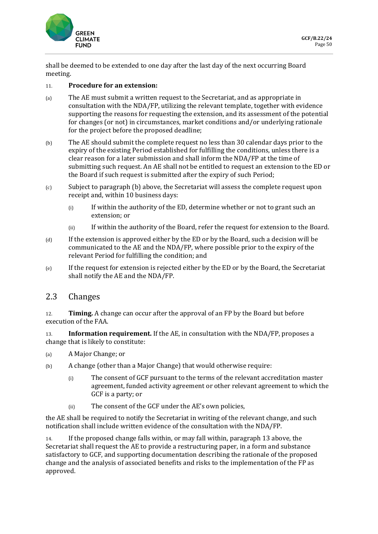

shall be deemed to be extended to one day after the last day of the next occurring Board meeting.

#### 11. **Procedure for an extension:**

- (a) The AE must submit a written request to the Secretariat, and as appropriate in consultation with the NDA/FP, utilizing the relevant template, together with evidence supporting the reasons for requesting the extension, and its assessment of the potential for changes (or not) in circumstances, market conditions and/or underlying rationale for the project before the proposed deadline;
- (b) The AE should submit the complete request no less than 30 calendar days prior to the expiry of the existing Period established for fulfilling the conditions, unless there is a clear reason for a later submission and shall inform the NDA/FP at the time of submitting such request. An AE shall not be entitled to request an extension to the ED or the Board if such request is submitted after the expiry of such Period;
- (c) Subject to paragraph (b) above, the Secretariat will assess the complete request upon receipt and, within 10 business days:
	- (i) If within the authority of the ED, determine whether or not to grant such an extension; or
	- (ii) If within the authority of the Board, refer the request for extension to the Board.
- (d) If the extension is approved either by the ED or by the Board, such a decision will be communicated to the AE and the NDA/FP, where possible prior to the expiry of the relevant Period for fulfilling the condition; and
- (e) If the request for extension is rejected either by the ED or by the Board, the Secretariat shall notify the AE and the NDA/FP.

#### 2.3 Changes

12. **Timing.** A change can occur after the approval of an FP by the Board but before execution of the FAA.

13. **Information requirement.** If the AE, in consultation with the NDA/FP, proposes a change that is likely to constitute:

- (a) A Major Change; or
- (b) A change (other than a Major Change) that would otherwise require:
	- (i) The consent of GCF pursuant to the terms of the relevant accreditation master agreement, funded activity agreement or other relevant agreement to which the GCF is a party; or
	- (ii) The consent of the GCF under the AE's own policies,

the AE shall be required to notify the Secretariat in writing of the relevant change, and such notification shall include written evidence of the consultation with the NDA/FP.

14. If the proposed change falls within, or may fall within, paragraph 13 above, the Secretariat shall request the AE to provide a restructuring paper, in a form and substance satisfactory to GCF, and supporting documentation describing the rationale of the proposed change and the analysis of associated benefits and risks to the implementation of the FP as approved.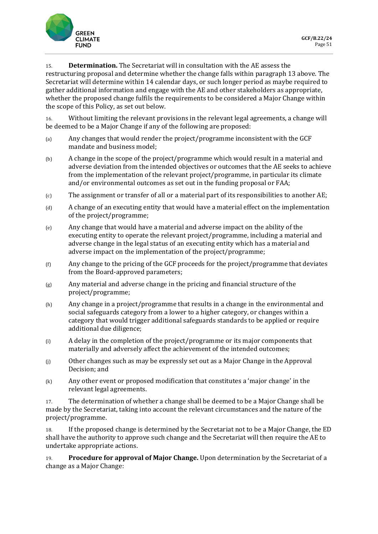

15. **Determination.** The Secretariat will in consultation with the AE assess the

restructuring proposal and determine whether the change falls within paragraph 13 above. The Secretariat will determine within 14 calendar days, or such longer period as maybe required to gather additional information and engage with the AE and other stakeholders as appropriate, whether the proposed change fulfils the requirements to be considered a Major Change within the scope of this Policy, as set out below.

16. Without limiting the relevant provisions in the relevant legal agreements, a change will be deemed to be a Major Change if any of the following are proposed:

- (a) Any changes that would render the project/programme inconsistent with the GCF mandate and business model;
- (b) A change in the scope of the project/programme which would result in a material and adverse deviation from the intended objectives or outcomes that the AE seeks to achieve from the implementation of the relevant project/programme, in particular its climate and/or environmental outcomes as set out in the funding proposal or FAA;
- (c) The assignment or transfer of all or a material part of its responsibilities to another AE;
- (d) A change of an executing entity that would have a material effect on the implementation of the project/programme;
- (e) Any change that would have a material and adverse impact on the ability of the executing entity to operate the relevant project/programme, including a material and adverse change in the legal status of an executing entity which has a material and adverse impact on the implementation of the project/programme;
- (f) Any change to the pricing of the GCF proceeds for the project/programme that deviates from the Board-approved parameters;
- $(g)$  Any material and adverse change in the pricing and financial structure of the project/programme;
- (h) Any change in a project/programme that results in a change in the environmental and social safeguards category from a lower to a higher category, or changes within a category that would trigger additional safeguards standards to be applied or require additional due diligence;
- (i) A delay in the completion of the project/programme or its major components that materially and adversely affect the achievement of the intended outcomes;
- (j) Other changes such as may be expressly set out as a Major Change in the Approval Decision; and
- (k) Any other event or proposed modification that constitutes a 'major change' in the relevant legal agreements.

17. The determination of whether a change shall be deemed to be a Major Change shall be made by the Secretariat, taking into account the relevant circumstances and the nature of the project/programme.

18. If the proposed change is determined by the Secretariat not to be a Major Change, the ED shall have the authority to approve such change and the Secretariat will then require the AE to undertake appropriate actions.

19. **Procedure for approval of Major Change.** Upon determination by the Secretariat of a change as a Major Change: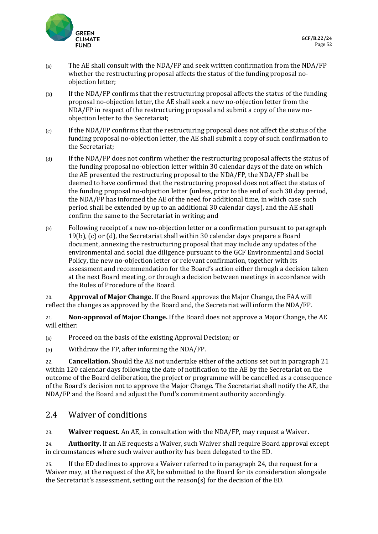

- (a) The AE shall consult with the NDA/FP and seek written confirmation from the NDA/FP whether the restructuring proposal affects the status of the funding proposal noobjection letter;
- (b) If the NDA/FP confirms that the restructuring proposal affects the status of the funding proposal no-objection letter, the AE shall seek a new no-objection letter from the NDA/FP in respect of the restructuring proposal and submit a copy of the new noobjection letter to the Secretariat;
- (c) If the NDA/FP confirms that the restructuring proposal does not affect the status of the funding proposal no-objection letter, the AE shall submit a copy of such confirmation to the Secretariat;
- (d) If the NDA/FP does not confirm whether the restructuring proposal affects the status of the funding proposal no-objection letter within 30 calendar days of the date on which the AE presented the restructuring proposal to the NDA/FP, the NDA/FP shall be deemed to have confirmed that the restructuring proposal does not affect the status of the funding proposal no-objection letter (unless, prior to the end of such 30 day period, the NDA/FP has informed the AE of the need for additional time, in which case such period shall be extended by up to an additional 30 calendar days), and the AE shall confirm the same to the Secretariat in writing; and
- (e) Following receipt of a new no-objection letter or a confirmation pursuant to paragraph 19(b), (c) or (d), the Secretariat shall within 30 calendar days prepare a Board document, annexing the restructuring proposal that may include any updates of the environmental and social due diligence pursuant to the GCF Environmental and Social Policy, the new no-objection letter or relevant confirmation, together with its assessment and recommendation for the Board's action either through a decision taken at the next Board meeting, or through a decision between meetings in accordance with the Rules of Procedure of the Board.

20. **Approval of Major Change.** If the Board approves the Major Change, the FAA will reflect the changes as approved by the Board and, the Secretariat will inform the NDA/FP.

21. **Non-approval of Major Change.** If the Board does not approve a Major Change, the AE will either:

(a) Proceed on the basis of the existing Approval Decision; or

(b) Withdraw the FP, after informing the NDA/FP.

22. **Cancellation.** Should the AE not undertake either of the actions set out in paragraph 21 within 120 calendar days following the date of notification to the AE by the Secretariat on the outcome of the Board deliberation, the project or programme will be cancelled as a consequence of the Board's decision not to approve the Major Change. The Secretariat shall notify the AE, the NDA/FP and the Board and adjust the Fund's commitment authority accordingly.

#### 2.4 Waiver of conditions

23. **Waiver request.** An AE, in consultation with the NDA/FP, may request a Waiver**.**

24. **Authority.** If an AE requests a Waiver, such Waiver shall require Board approval except in circumstances where such waiver authority has been delegated to the ED.

25. If the ED declines to approve a Waiver referred to in paragraph 24, the request for a Waiver may, at the request of the AE, be submitted to the Board for its consideration alongside the Secretariat's assessment, setting out the reason(s) for the decision of the ED.